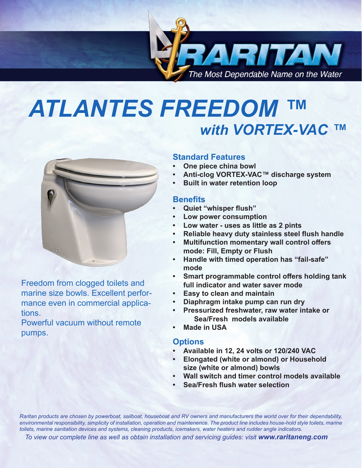

# *ATLANTES FREEDOM ™ with VORTEX-VAC ™*



Freedom from clogged toilets and marine size bowls. Excellent performance even in commercial applications.

Powerful vacuum without remote pumps.

### **Standard Features**

- **One piece china bowl**
- **• Anti-clog VORTEX-VAC™ discharge system**
- **Built in water retention loop**

#### **Benefits**

- **• Quiet "whisper flush"**
- **Low power consumption**
- **• Low water uses as little as 2 pints**
- **• Reliable heavy duty stainless steel flush handle**
- **• Multifunction momentary wall control offers mode: Fill, Empty or Flush**
- **• Handle with timed operation has "fail-safe" mode**
- **• Smart programmable control offers holding tank full indicator and water saver mode**
- **Easy to clean and maintain**
- **• Diaphragm intake pump can run dry**
- **Pressurized freshwater, raw water intake or Sea/Fresh models available**
- **Made in USA**

#### **Options**

- **• Available in 12, 24 volts or 120/240 VAC**
- **Elongated (white or almond) or Household size (white or almond) bowls**
- **Wall switch and timer control models available**
- **• Sea/Fresh flush water selection**

*Raritan products are chosen by powerboat, sailboat, houseboat and RV owners and manufacturers the world over for their dependability, environmental responsibility, simplicity of installation, operation and maintenence. The product line includes house-hold style toilets, marine toilets, marine sanitation devices and systems, cleaning products, icemakers, water heaters and rudder angle indicators.* 

 *To view our complete line as well as obtain installation and servicing guides: visit www.raritaneng.com*